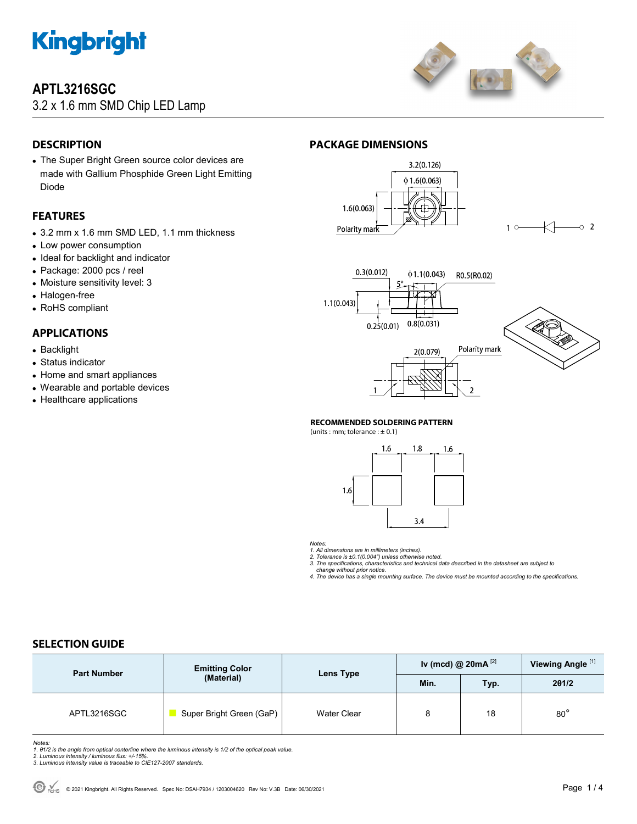

## **APTL3216SGC**

3.2 x 1.6 mm SMD Chip LED Lamp



## **DESCRIPTION**

 The Super Bright Green source color devices are made with Gallium Phosphide Green Light Emitting Diode

### **FEATURES**

- 3.2 mm x 1.6 mm SMD LED, 1.1 mm thickness
- Low power consumption
- Ideal for backlight and indicator
- Package: 2000 pcs / reel
- Moisture sensitivity level: 3
- Halogen-free
- RoHS compliant

### **APPLICATIONS**

- Backlight
- Status indicator
- Home and smart appliances
- Wearable and portable devices
- Healthcare applications

### **PACKAGE DIMENSIONS**



 $1^{\circ}$  $\sim$  2



### **RECOMMENDED SOLDERING PATTERN**

(units : mm; tolerance :  $\pm$  0.1)



*Notes:* 

*1. All dimensions are in millimeters (inches).* 

*2. Tolerance is ±0.1(0.004") unless otherwise noted. 3. The specifications, characteristics and technical data described in the datasheet are subject to* 

 *change without prior notice. 4. The device has a single mounting surface. The device must be mounted according to the specifications.* 

### **SELECTION GUIDE**

| <b>Part Number</b> | <b>Emitting Color</b><br>(Material) | Lens Type          | Iv (mcd) @ $20mA$ <sup>[2]</sup> |      | Viewing Angle <sup>[1]</sup> |
|--------------------|-------------------------------------|--------------------|----------------------------------|------|------------------------------|
|                    |                                     |                    | Min.                             | Typ. | 201/2                        |
| APTL3216SGC        | Super Bright Green (GaP)            | <b>Water Clear</b> | 8                                | 18   | $80^{\circ}$                 |

Notes:<br>1. 81/2 is the angle from optical centerline where the luminous intensity is 1/2 of the optical peak value.<br>2. Luminous intensity / luminous flux: +/-15%.<br>3. Luminous intensity value is traceable to CIE127-2007 stan

- 
-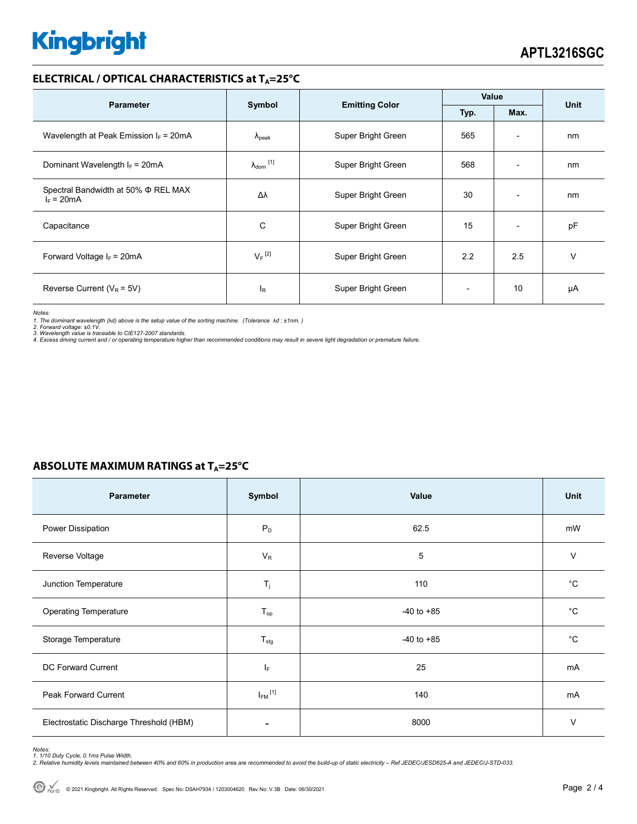# **Kingbright**

### **ELECTRICAL / OPTICAL CHARACTERISTICS at TA=25°C**

| <b>Parameter</b>                                    | Symbol                         |                       | Value |                          |      |
|-----------------------------------------------------|--------------------------------|-----------------------|-------|--------------------------|------|
|                                                     |                                | <b>Emitting Color</b> | Typ.  | Max.                     | Unit |
| Wavelength at Peak Emission $I_F$ = 20mA            | $\Lambda_{\rm peak}$           | Super Bright Green    | 565   | $\overline{\phantom{a}}$ | nm   |
| Dominant Wavelength $I_F = 20mA$                    | $\lambda_{dom}$ <sup>[1]</sup> | Super Bright Green    | 568   | $\overline{\phantom{0}}$ | nm   |
| Spectral Bandwidth at 50% Φ REL MAX<br>$I_F = 20mA$ | Δλ                             | Super Bright Green    | 30    | $\overline{\phantom{a}}$ | nm   |
| Capacitance                                         | С                              | Super Bright Green    | 15    | $\overline{\phantom{a}}$ | pF   |
| Forward Voltage $I_F$ = 20mA                        | $V_F$ <sup>[2]</sup>           | Super Bright Green    | 2.2   | 2.5                      | v    |
| Reverse Current ( $V_R$ = 5V)                       | l <sub>R</sub>                 | Super Bright Green    |       | 10                       | μA   |

*Notes:* 

1. The dominant wavelength (λd) above is the setup value of the sorting machine. (Tolerance λd : ±1nm. )<br>2. Forward voltage: ±0.1V.<br>3. Wavelength value is traceable to CIE127-2007 standards.<br>4. Excess driving current and

| Parameter                                | Symbol                  | Value          | Unit         |  |  |  |  |
|------------------------------------------|-------------------------|----------------|--------------|--|--|--|--|
| Power Dissipation                        | $P_D$                   | 62.5           | mW           |  |  |  |  |
| Reverse Voltage                          | $V_{R}$                 | 5              | $\vee$       |  |  |  |  |
| Junction Temperature                     | $T_{j}$                 | 110            | $^{\circ}$ C |  |  |  |  |
| Operating Temperature                    | $T_{op}$                | $-40$ to $+85$ | $^{\circ}$ C |  |  |  |  |
| Storage Temperature                      | $T_{\text{stg}}$        | $-40$ to $+85$ | $^{\circ}$ C |  |  |  |  |
| DC Forward Current                       | IF.                     | 25             | mA           |  |  |  |  |
| Peak Forward Current                     | $I_{FM}$ <sup>[1]</sup> | 140            | mA           |  |  |  |  |
| Electrostatic Discharge Threshold (HBM)  | -                       | 8000           | $\vee$       |  |  |  |  |
| 98:<br>40 Duty Cyclo, 0 1mg Bulgo Width. |                         |                |              |  |  |  |  |

## **ABSOLUTE MAXIMUM RATINGS at T<sub>A</sub>=25°C**

*Notes:* 

1. 1/10 Duty Cycle, 0.1ms Pulse Width.<br>2. Relative humidity levels maintained between 40% and 60% in production area are recommended to avoid the build-up of static electricity – Ref JEDEC/JESD625-A and JEDEC/J-STD-033.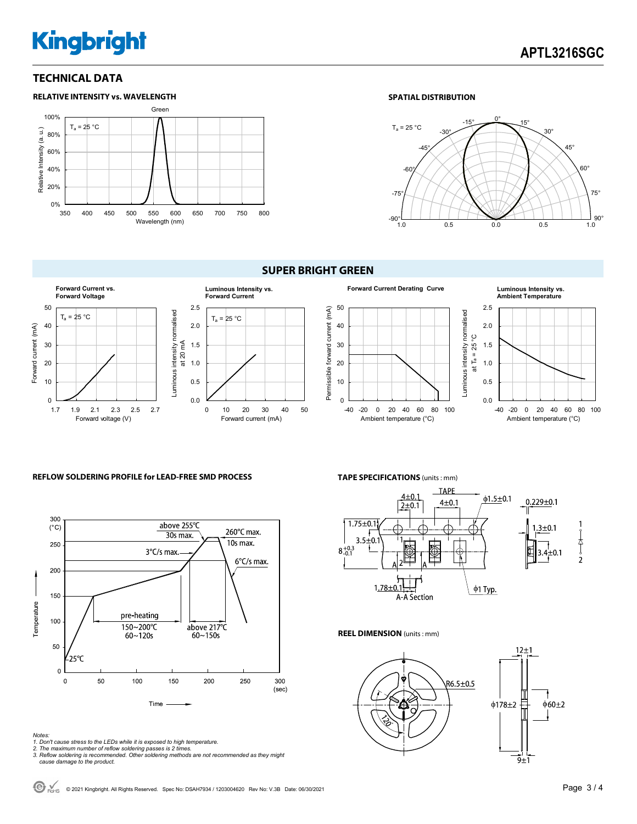# **Kingbright**

### **TECHNICAL DATA**



### **SPATIAL DISTRIBUTION**





### **REFLOW SOLDERING PROFILE for LEAD-FREE SMD PROCESS**



#### *Notes:*

- *1. Don't cause stress to the LEDs while it is exposed to high temperature.*
- 

**TAPE SPECIFICATIONS** (units : mm)



#### **REEL DIMENSION** (units : mm)



*<sup>2.</sup> The maximum number of reflow soldering passes is 2 times. 3. Reflow soldering is recommended. Other soldering methods are not recommended as they might cause damage to the product.*